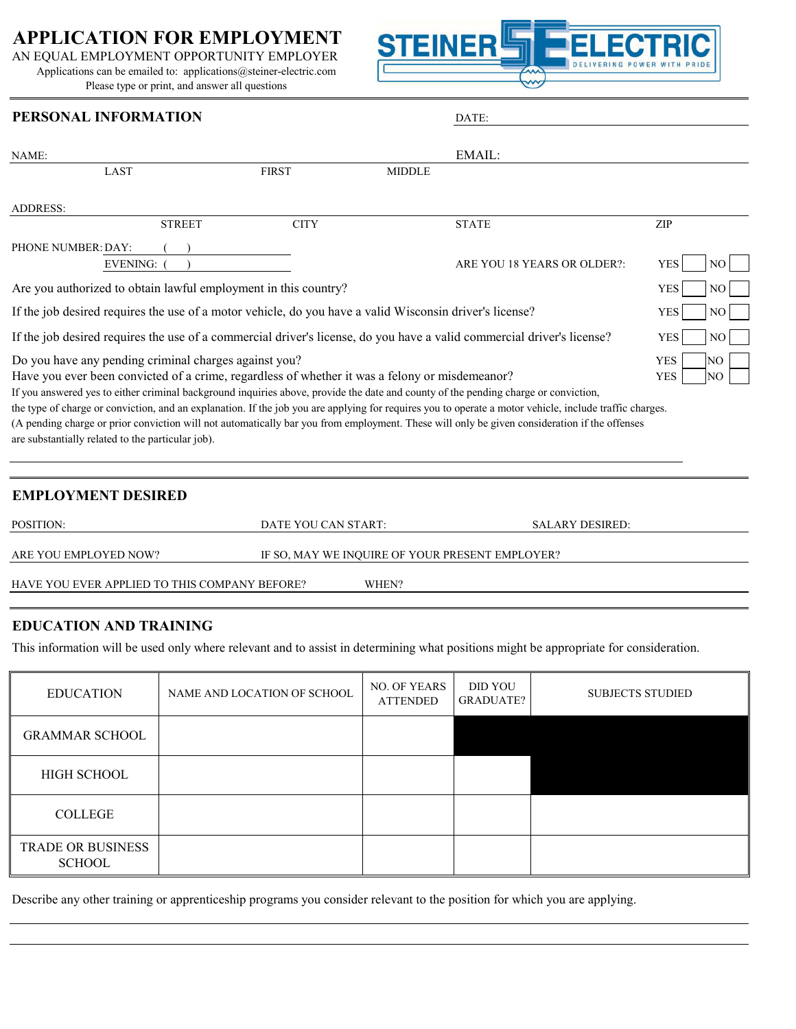# **APPLICATION FOR EMPLOYMENT**

AN EQUAL EMPLOYMENT OPPORTUNITY EMPLOYER Applications can be emailed to: applications@steiner-electric.com Please type or print, and answer all questions



## **PERSONAL INFORMATION** DATE:

| NAME:                                                                                                                                                                                                        |                     | EMAIL:                                                                                                                                                                                                                                                                                                                                                                                                                                         |                                       |
|--------------------------------------------------------------------------------------------------------------------------------------------------------------------------------------------------------------|---------------------|------------------------------------------------------------------------------------------------------------------------------------------------------------------------------------------------------------------------------------------------------------------------------------------------------------------------------------------------------------------------------------------------------------------------------------------------|---------------------------------------|
| <b>LAST</b>                                                                                                                                                                                                  | <b>FIRST</b>        | <b>MIDDLE</b>                                                                                                                                                                                                                                                                                                                                                                                                                                  |                                       |
| <b>ADDRESS:</b>                                                                                                                                                                                              |                     |                                                                                                                                                                                                                                                                                                                                                                                                                                                |                                       |
| <b>STREET</b>                                                                                                                                                                                                | <b>CITY</b>         | <b>STATE</b>                                                                                                                                                                                                                                                                                                                                                                                                                                   | ZIP                                   |
| PHONE NUMBER: DAY:<br><b>EVENING:</b>                                                                                                                                                                        |                     | ARE YOU 18 YEARS OR OLDER?:                                                                                                                                                                                                                                                                                                                                                                                                                    | <b>YES</b><br>NO.                     |
| Are you authorized to obtain lawful employment in this country?                                                                                                                                              | <b>YES</b><br>NО    |                                                                                                                                                                                                                                                                                                                                                                                                                                                |                                       |
| If the job desired requires the use of a motor vehicle, do you have a valid Wisconsin driver's license?                                                                                                      | <b>YES</b><br>NO.   |                                                                                                                                                                                                                                                                                                                                                                                                                                                |                                       |
| If the job desired requires the use of a commercial driver's license, do you have a valid commercial driver's license?                                                                                       | <b>YES</b><br>NO.   |                                                                                                                                                                                                                                                                                                                                                                                                                                                |                                       |
| Do you have any pending criminal charges against you?<br>Have you ever been convicted of a crime, regardless of whether it was a felony or misdemeanor?<br>are substantially related to the particular job). |                     | If you answered yes to either criminal background inquiries above, provide the date and county of the pending charge or conviction,<br>the type of charge or conviction, and an explanation. If the job you are applying for requires you to operate a motor vehicle, include traffic charges.<br>(A pending charge or prior conviction will not automatically bar you from employment. These will only be given consideration if the offenses | <b>YES</b><br>NO<br><b>YES</b><br>NO. |
| <b>EMPLOYMENT DESIRED</b><br>POSITION:                                                                                                                                                                       | DATE YOU CAN START: | <b>SALARY DESIRED:</b>                                                                                                                                                                                                                                                                                                                                                                                                                         |                                       |
| ARE YOU EMPLOYED NOW?                                                                                                                                                                                        |                     | IF SO, MAY WE INQUIRE OF YOUR PRESENT EMPLOYER?                                                                                                                                                                                                                                                                                                                                                                                                |                                       |

HAVE YOU EVER APPLIED TO THIS COMPANY BEFORE? WHEN?

# **EDUCATION AND TRAINING**

This information will be used only where relevant and to assist in determining what positions might be appropriate for consideration.

| <b>EDUCATION</b>                   | NAME AND LOCATION OF SCHOOL | <b>NO. OF YEARS</b><br><b>ATTENDED</b> | <b>DID YOU</b><br><b>GRADUATE?</b> | <b>SUBJECTS STUDIED</b> |
|------------------------------------|-----------------------------|----------------------------------------|------------------------------------|-------------------------|
| <b>GRAMMAR SCHOOL</b>              |                             |                                        |                                    |                         |
| HIGH SCHOOL                        |                             |                                        |                                    |                         |
| <b>COLLEGE</b>                     |                             |                                        |                                    |                         |
| <b>TRADE OR BUSINESS</b><br>SCHOOL |                             |                                        |                                    |                         |

Describe any other training or apprenticeship programs you consider relevant to the position for which you are applying.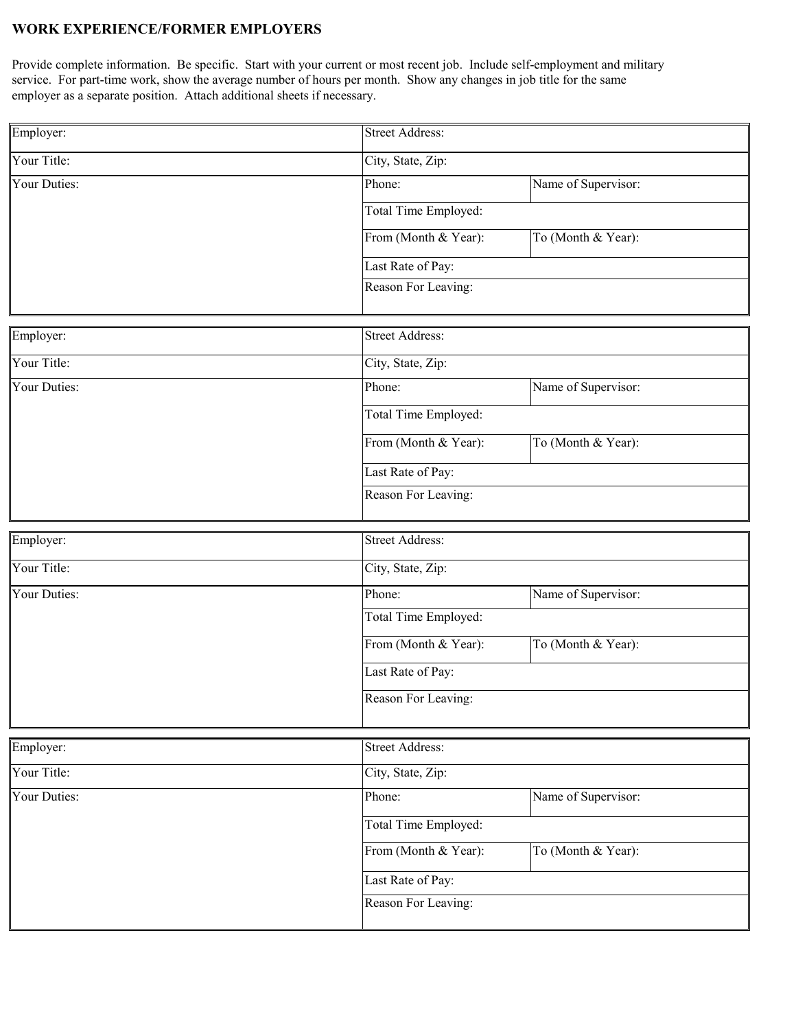#### **WORK EXPERIENCE/FORMER EMPLOYERS**

Provide complete information. Be specific. Start with your current or most recent job. Include self-employment and military service. For part-time work, show the average number of hours per month. Show any changes in job title for the same employer as a separate position. Attach additional sheets if necessary.

| Employer:           | <b>Street Address:</b>                     |                        |  |  |
|---------------------|--------------------------------------------|------------------------|--|--|
| Your Title:         | City, State, Zip:                          |                        |  |  |
| Your Duties:        | Phone:                                     | Name of Supervisor:    |  |  |
|                     | Total Time Employed:                       |                        |  |  |
|                     | From (Month & Year):<br>To (Month & Year): |                        |  |  |
|                     | Last Rate of Pay:                          |                        |  |  |
|                     | Reason For Leaving:                        |                        |  |  |
|                     |                                            |                        |  |  |
| Employer:           |                                            | <b>Street Address:</b> |  |  |
| Your Title:         | City, State, Zip:                          |                        |  |  |
| <b>Your Duties:</b> | Phone:                                     | Name of Supervisor:    |  |  |
|                     | Total Time Employed:                       |                        |  |  |
|                     | From (Month & Year):                       | To (Month & Year):     |  |  |
|                     | Last Rate of Pay:                          |                        |  |  |
|                     | Reason For Leaving:                        |                        |  |  |
| Employer:           | <b>Street Address:</b>                     |                        |  |  |
| Your Title:         | City, State, Zip:                          |                        |  |  |
| Your Duties:        | Phone:                                     | Name of Supervisor:    |  |  |
|                     | Total Time Employed:                       |                        |  |  |
|                     | From (Month & Year):                       | To (Month & Year):     |  |  |
|                     | Last Rate of Pay:                          |                        |  |  |
|                     | Reason For Leaving:                        |                        |  |  |
| Employer:           | <b>Street Address:</b>                     |                        |  |  |
| Your Title:         | City, State, Zip:                          |                        |  |  |
| Your Duties:        | Phone:                                     | Name of Supervisor:    |  |  |
|                     |                                            |                        |  |  |
|                     | Total Time Employed:                       |                        |  |  |
|                     | From (Month & Year):                       | To (Month & Year):     |  |  |
|                     | Last Rate of Pay:                          |                        |  |  |
|                     | Reason For Leaving:                        |                        |  |  |
|                     |                                            |                        |  |  |